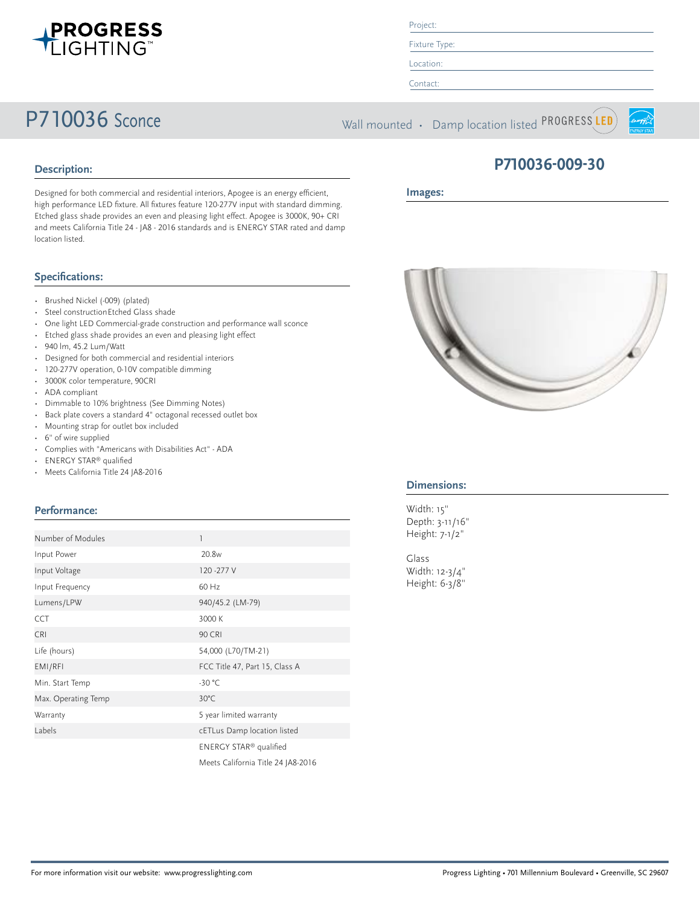

Project:

Fixture Type: Location:

Contact:

P710036 Sconce Wall mounted • Damp location listed PROGRESS LED



## **Description:**

Designed for both commercial and residential interiors, Apogee is an energy efficient, high performance LED fixture. All fixtures feature 120-277V input with standard dimming. Etched glass shade provides an even and pleasing light effect. Apogee is 3000K, 90+ CRI and meets California Title 24 - JA8 - 2016 standards and is ENERGY STAR rated and damp location listed.

## **Specifications:**

- Brushed Nickel (-009) (plated)
- Steel constructionEtched Glass shade
- One light LED Commercial-grade construction and performance wall sconce
- Etched glass shade provides an even and pleasing light effect
- 940 lm, 45.2 Lum/Watt
- Designed for both commercial and residential interiors
- 120-277V operation, 0-10V compatible dimming
- 3000K color temperature, 90CRI
- ADA compliant
- Dimmable to 10% brightness (See Dimming Notes)
- Back plate covers a standard 4" octagonal recessed outlet box
- Mounting strap for outlet box included
- 6" of wire supplied
- Complies with "Americans with Disabilities Act" ADA
- ENERGY STAR® qualified
- Meets California Title 24 JA8-2016

## **Performance:**

| Number of Modules   |                                    |
|---------------------|------------------------------------|
| Input Power         | 20.8 <sub>w</sub>                  |
| Input Voltage       | 120 - 277 V                        |
| Input Frequency     | 60 Hz                              |
| Lumens/LPW          | 940/45.2 (LM-79)                   |
| <b>CCT</b>          | 3000 K                             |
| <b>CRI</b>          | <b>90 CRI</b>                      |
| Life (hours)        | 54,000 (L70/TM-21)                 |
| EMI/RFI             | FCC Title 47, Part 15, Class A     |
| Min. Start Temp     | $-30 °C$                           |
| Max. Operating Temp | $30^{\circ}$ C                     |
| Warranty            | 5 year limited warranty            |
| Labels              | cETLus Damp location listed        |
|                     | ENERGY STAR <sup>®</sup> qualified |
|                     | Meets California Title 24 JA8-2016 |



### **Images:**



## **Dimensions:**

Width: 15" Depth: 3-11/16" Height: 7-1/2"

Glass Width: 12-3/4" Height: 6-3/8"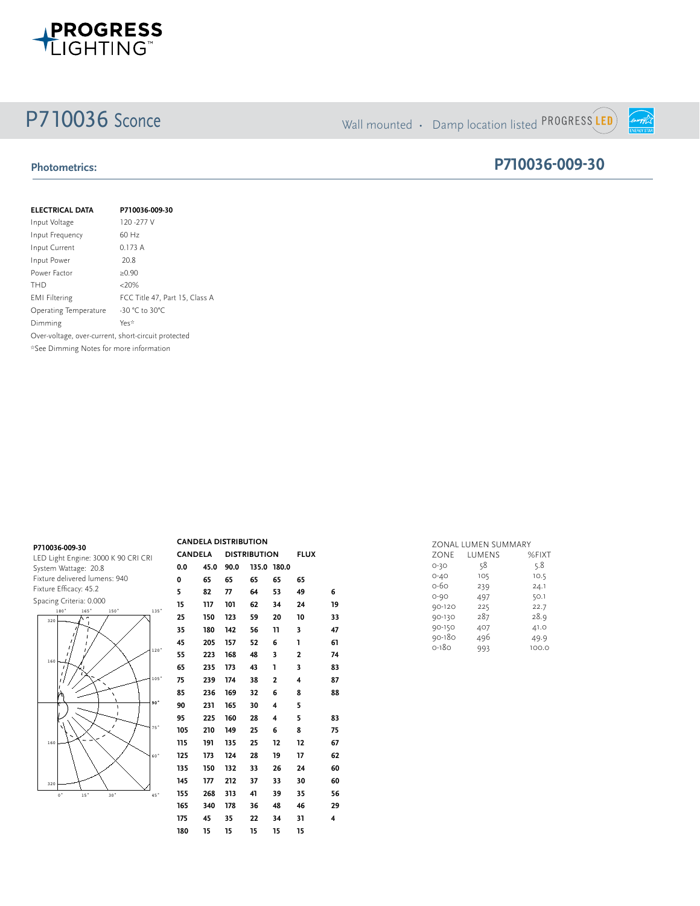

# P710036 Sconce Wall mounted • Damp location listed PROGRESS LED

**P710036-009-30**

**ENERGY STAR** 

## **Photometrics:**

| <b>ELECTRICAL DATA</b>                              | P710036-009-30                 |
|-----------------------------------------------------|--------------------------------|
| Input Voltage                                       | 120 - 277 V                    |
| Input Frequency                                     | 60 Hz                          |
| Input Current                                       | 0.173A                         |
| Input Power                                         | 20.8                           |
| Power Factor                                        | $\geq 0.90$                    |
| THD                                                 | <20%                           |
| <b>EMI Filtering</b>                                | FCC Title 47, Part 15, Class A |
| Operating Temperature                               | -30 °C to 30°C                 |
| Dimming                                             | Yes*                           |
| Over-voltage, over-current, short-circuit protected |                                |
| *See Dimming Notes for more information             |                                |

| P710036-009-30                      |
|-------------------------------------|
| LED Light Engine: 3000 K 90 CRI CRI |
| System Wattage: 20.8                |
| Fixture delivered lumens: 940       |
| Fixture Efficacy: 45.2              |
| Spacing Criteria: 0.000             |



| <b>CANDELA DISTRIBUTION</b> |                                       |      |    |                         |             |    |
|-----------------------------|---------------------------------------|------|----|-------------------------|-------------|----|
|                             | <b>CANDELA</b><br><b>DISTRIBUTION</b> |      |    |                         | <b>FLUX</b> |    |
| 0.0                         | 45.0                                  | 90.0 |    | 135.0 180.0             |             |    |
| 0                           | 65                                    | 65   | 65 | 65                      | 65          |    |
| 5                           | 82                                    | 77   | 64 | 53                      | 49          | 6  |
| 15                          | 117                                   | 101  | 62 | 34                      | 24          | 19 |
| 25                          | 150                                   | 123  | 59 | 20                      | 10          | 33 |
| 35                          | 180                                   | 142  | 56 | 11                      | 3           | 47 |
| 45                          | 205                                   | 157  | 52 | 6                       | ı           | 61 |
| 55                          | 223                                   | 168  | 48 | 3                       | 2           | 74 |
| 65                          | 235                                   | 173  | 43 | ı                       | 3           | 83 |
| 75                          | 239                                   | 174  | 38 | 2                       | 4           | 87 |
| 85                          | 236                                   | 169  | 32 | 6                       | 8           | 88 |
| 90                          | 231                                   | 165  | 30 | $\overline{\mathbf{4}}$ | 5           |    |
| 95                          | 225                                   | 160  | 28 | 4                       | 5           | 83 |
| 105                         | 210                                   | 149  | 25 | 6                       | 8           | 75 |
| 115                         | 191                                   | 135  | 25 | 12                      | 12          | 67 |
| 125                         | 173                                   | 124  | 28 | 19                      | 17          | 62 |
| 135                         | 150                                   | 132  | 33 | 26                      | 24          | 60 |
| 145                         | 177                                   | 212  | 37 | 33                      | 30          | 60 |
| 155                         | 268                                   | 313  | 41 | 39                      | 35          | 56 |
| 165                         | 340                                   | 178  | 36 | 48                      | 46          | 29 |
| 175                         | 45                                    | 35   | 22 | 34                      | 31          | 4  |
| 180                         | 15                                    | 15   | 15 | 15                      | 15          |    |

|          | ZONAL LUMEN SUMMARY |       |
|----------|---------------------|-------|
| ZONE     | LUMENS              | %FIXT |
| $O-3O$   | 58                  | 5.8   |
| $O - 4O$ | 105                 | 10.5  |
| 0-60     | 239                 | 24.1  |
| $O - 9O$ | 497                 | 50.1  |
| 90-120   | 225                 | 22.7  |
| 90-130   | 287                 | 28.9  |
| 90-150   | 407                 | 41.0  |
| 90-180   | 496                 | 49.9  |
| $O-18O$  | 993                 | 100.0 |